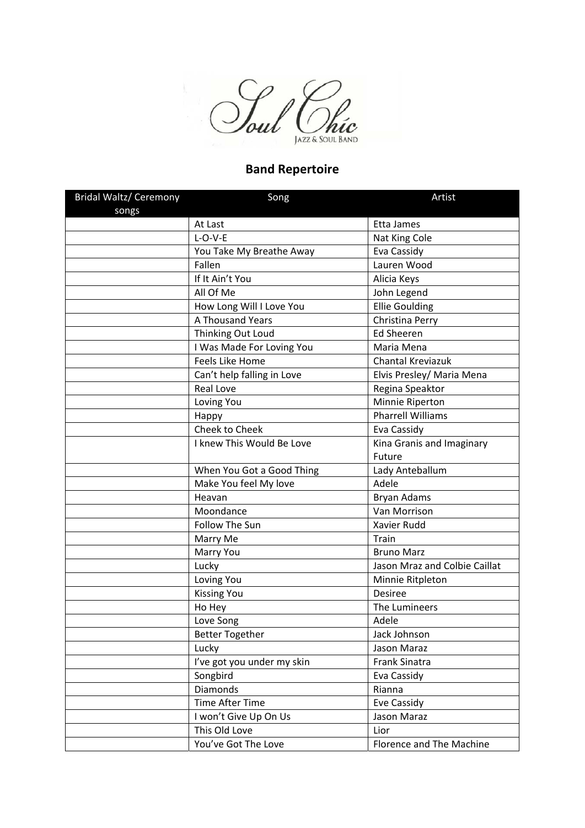

## **Band Repertoire**

| <b>Bridal Waltz/ Ceremony</b> | Song                       | Artist                        |
|-------------------------------|----------------------------|-------------------------------|
| songs                         |                            |                               |
|                               | At Last                    | Etta James                    |
|                               | $L-O-V-E$                  | Nat King Cole                 |
|                               | You Take My Breathe Away   | Eva Cassidy                   |
|                               | Fallen                     | Lauren Wood                   |
|                               | If It Ain't You            | Alicia Keys                   |
|                               | All Of Me                  | John Legend                   |
|                               | How Long Will I Love You   | <b>Ellie Goulding</b>         |
|                               | A Thousand Years           | Christina Perry               |
|                               | Thinking Out Loud          | <b>Ed Sheeren</b>             |
|                               | I Was Made For Loving You  | Maria Mena                    |
|                               | <b>Feels Like Home</b>     | Chantal Kreviazuk             |
|                               | Can't help falling in Love | Elvis Presley/ Maria Mena     |
|                               | <b>Real Love</b>           | Regina Speaktor               |
|                               | Loving You                 | Minnie Riperton               |
|                               | Happy                      | <b>Pharrell Williams</b>      |
|                               | Cheek to Cheek             | Eva Cassidy                   |
|                               | I knew This Would Be Love  | Kina Granis and Imaginary     |
|                               |                            | Future                        |
|                               | When You Got a Good Thing  | Lady Anteballum               |
|                               | Make You feel My love      | Adele                         |
|                               | Heavan                     | <b>Bryan Adams</b>            |
|                               | Moondance                  | Van Morrison                  |
|                               | Follow The Sun             | Xavier Rudd                   |
|                               | Marry Me                   | Train                         |
|                               | Marry You                  | <b>Bruno Marz</b>             |
|                               | Lucky                      | Jason Mraz and Colbie Caillat |
|                               | Loving You                 | Minnie Ritpleton              |
|                               | <b>Kissing You</b>         | <b>Desiree</b>                |
|                               | Ho Hey                     | The Lumineers                 |
|                               | Love Song                  | Adele                         |
|                               | <b>Better Together</b>     | Jack Johnson                  |
|                               | Lucky                      | Jason Maraz                   |
|                               | I've got you under my skin | Frank Sinatra                 |
|                               | Songbird                   | Eva Cassidy                   |
|                               | <b>Diamonds</b>            | Rianna                        |
|                               | <b>Time After Time</b>     | Eve Cassidy                   |
|                               | I won't Give Up On Us      | Jason Maraz                   |
|                               | This Old Love              | Lior                          |
|                               | You've Got The Love        | Florence and The Machine      |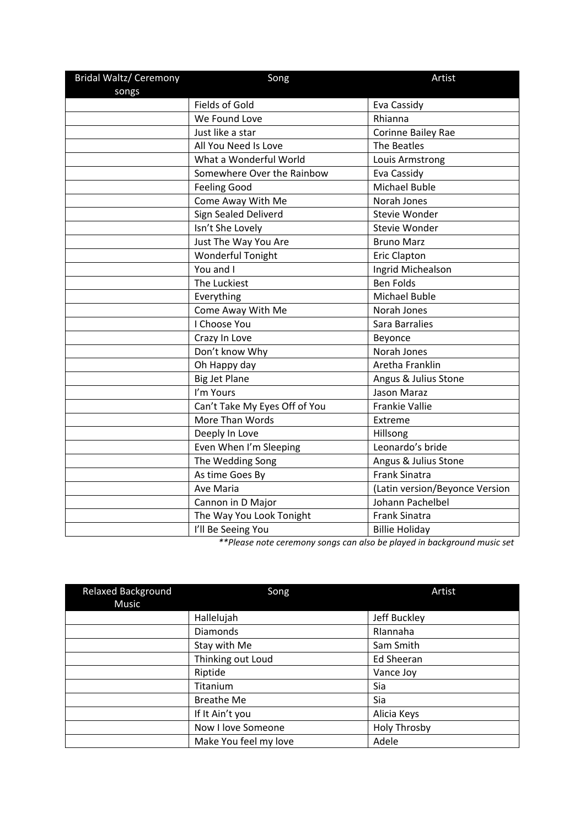| <b>Bridal Waltz/ Ceremony</b> | Song                          | Artist                         |
|-------------------------------|-------------------------------|--------------------------------|
| songs                         |                               |                                |
|                               | <b>Fields of Gold</b>         | Eva Cassidy                    |
|                               | We Found Love                 | Rhianna                        |
|                               | Just like a star              | Corinne Bailey Rae             |
|                               | All You Need Is Love          | The Beatles                    |
|                               | What a Wonderful World        | Louis Armstrong                |
|                               | Somewhere Over the Rainbow    | Eva Cassidy                    |
|                               | <b>Feeling Good</b>           | <b>Michael Buble</b>           |
|                               | Come Away With Me             | Norah Jones                    |
|                               | Sign Sealed Deliverd          | Stevie Wonder                  |
|                               | Isn't She Lovely              | Stevie Wonder                  |
|                               | Just The Way You Are          | <b>Bruno Marz</b>              |
|                               | Wonderful Tonight             | Eric Clapton                   |
|                               | You and I                     | Ingrid Michealson              |
|                               | The Luckiest                  | <b>Ben Folds</b>               |
|                               | Everything                    | <b>Michael Buble</b>           |
|                               | Come Away With Me             | Norah Jones                    |
|                               | I Choose You                  | Sara Barralies                 |
|                               | Crazy In Love                 | Beyonce                        |
|                               | Don't know Why                | Norah Jones                    |
|                               | Oh Happy day                  | Aretha Franklin                |
|                               | <b>Big Jet Plane</b>          | Angus & Julius Stone           |
|                               | I'm Yours                     | Jason Maraz                    |
|                               | Can't Take My Eyes Off of You | <b>Frankie Vallie</b>          |
|                               | More Than Words               | Extreme                        |
|                               | Deeply In Love                | Hillsong                       |
|                               | Even When I'm Sleeping        | Leonardo's bride               |
|                               | The Wedding Song              | Angus & Julius Stone           |
|                               | As time Goes By               | <b>Frank Sinatra</b>           |
|                               | <b>Ave Maria</b>              | (Latin version/Beyonce Version |
|                               | Cannon in D Major             | Johann Pachelbel               |
|                               | The Way You Look Tonight      | <b>Frank Sinatra</b>           |
|                               | I'll Be Seeing You            | <b>Billie Holiday</b>          |

*\*\*Please note ceremony songs can also be played in background music set* 

| <b>Relaxed Background</b><br>Music | Song                  | Artist              |
|------------------------------------|-----------------------|---------------------|
|                                    | Hallelujah            | Jeff Buckley        |
|                                    | Diamonds              | Rlannaha            |
|                                    | Stay with Me          | Sam Smith           |
|                                    | Thinking out Loud     | <b>Ed Sheeran</b>   |
|                                    | Riptide               | Vance Joy           |
|                                    | Titanium              | Sia                 |
|                                    | <b>Breathe Me</b>     | Sia                 |
|                                    | If It Ain't you       | Alicia Keys         |
|                                    | Now I love Someone    | <b>Holy Throsby</b> |
|                                    | Make You feel my love | Adele               |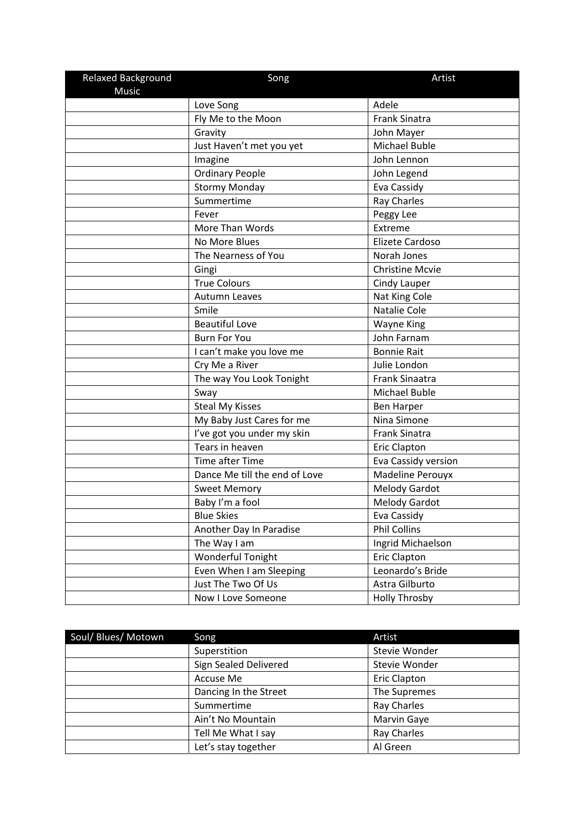| Relaxed Background | Song                          | Artist                 |
|--------------------|-------------------------------|------------------------|
| <b>Music</b>       |                               | Adele                  |
|                    | Love Song                     |                        |
|                    | Fly Me to the Moon            | <b>Frank Sinatra</b>   |
|                    | Gravity                       | John Mayer             |
|                    | Just Haven't met you yet      | Michael Buble          |
|                    | Imagine                       | John Lennon            |
|                    | <b>Ordinary People</b>        | John Legend            |
|                    | <b>Stormy Monday</b>          | Eva Cassidy            |
|                    | Summertime                    | <b>Ray Charles</b>     |
|                    | Fever                         | Peggy Lee              |
|                    | More Than Words               | Extreme                |
|                    | No More Blues                 | Elizete Cardoso        |
|                    | The Nearness of You           | Norah Jones            |
|                    | Gingi                         | <b>Christine Mcvie</b> |
|                    | <b>True Colours</b>           | Cindy Lauper           |
|                    | Autumn Leaves                 | Nat King Cole          |
|                    | Smile                         | Natalie Cole           |
|                    | <b>Beautiful Love</b>         | <b>Wayne King</b>      |
|                    | <b>Burn For You</b>           | John Farnam            |
|                    | I can't make you love me      | <b>Bonnie Rait</b>     |
|                    | Cry Me a River                | Julie London           |
|                    | The way You Look Tonight      | Frank Sinaatra         |
|                    | Sway                          | Michael Buble          |
|                    | <b>Steal My Kisses</b>        | <b>Ben Harper</b>      |
|                    | My Baby Just Cares for me     | Nina Simone            |
|                    | I've got you under my skin    | <b>Frank Sinatra</b>   |
|                    | Tears in heaven               | <b>Eric Clapton</b>    |
|                    | Time after Time               | Eva Cassidy version    |
|                    | Dance Me till the end of Love | Madeline Perouyx       |
|                    | <b>Sweet Memory</b>           | Melody Gardot          |
|                    | Baby I'm a fool               | <b>Melody Gardot</b>   |
|                    | <b>Blue Skies</b>             | Eva Cassidy            |
|                    | Another Day In Paradise       | <b>Phil Collins</b>    |
|                    | The Way I am                  | Ingrid Michaelson      |
|                    | Wonderful Tonight             | <b>Eric Clapton</b>    |
|                    | Even When I am Sleeping       | Leonardo's Bride       |
|                    | Just The Two Of Us            | Astra Gilburto         |
|                    | Now I Love Someone            | <b>Holly Throsby</b>   |

| Soul/ Blues/ Motown | Song                  | Artist        |
|---------------------|-----------------------|---------------|
|                     | Superstition          | Stevie Wonder |
|                     | Sign Sealed Delivered | Stevie Wonder |
|                     | Accuse Me             | Eric Clapton  |
|                     | Dancing In the Street | The Supremes  |
|                     | Summertime            | Ray Charles   |
|                     | Ain't No Mountain     | Marvin Gaye   |
|                     | Tell Me What I say    | Ray Charles   |
|                     | Let's stay together   | Al Green      |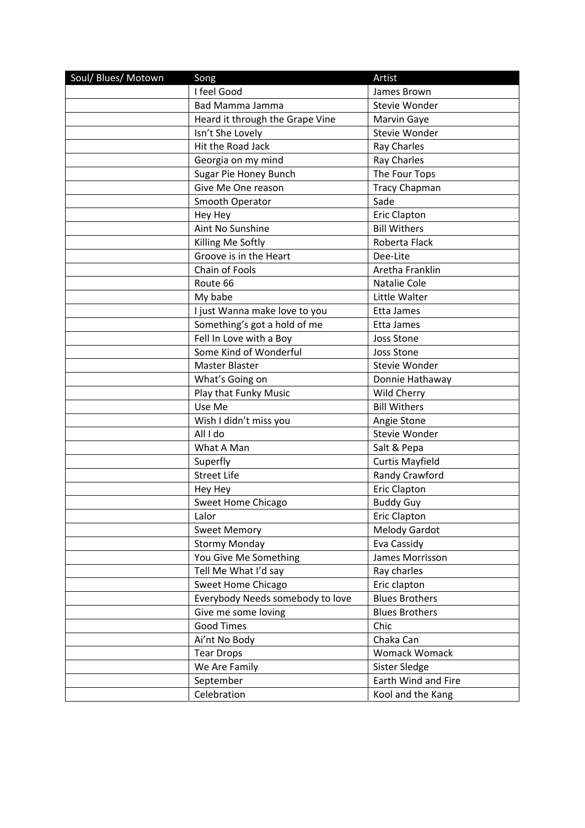| Soul/ Blues/ Motown | Song                             | Artist                 |
|---------------------|----------------------------------|------------------------|
|                     | I feel Good                      | James Brown            |
|                     | Bad Mamma Jamma                  | Stevie Wonder          |
|                     | Heard it through the Grape Vine  | Marvin Gaye            |
|                     | Isn't She Lovely                 | Stevie Wonder          |
|                     | Hit the Road Jack                | Ray Charles            |
|                     | Georgia on my mind               | Ray Charles            |
|                     | Sugar Pie Honey Bunch            | The Four Tops          |
|                     | Give Me One reason               | <b>Tracy Chapman</b>   |
|                     | Smooth Operator                  | Sade                   |
|                     | Hey Hey                          | <b>Eric Clapton</b>    |
|                     | Aint No Sunshine                 | <b>Bill Withers</b>    |
|                     | Killing Me Softly                | Roberta Flack          |
|                     | Groove is in the Heart           | Dee-Lite               |
|                     | <b>Chain of Fools</b>            | Aretha Franklin        |
|                     | Route 66                         | Natalie Cole           |
|                     | My babe                          | Little Walter          |
|                     | I just Wanna make love to you    | Etta James             |
|                     | Something's got a hold of me     | Etta James             |
|                     | Fell In Love with a Boy          | Joss Stone             |
|                     | Some Kind of Wonderful           | <b>Joss Stone</b>      |
|                     | Master Blaster                   | Stevie Wonder          |
|                     | What's Going on                  | Donnie Hathaway        |
|                     | Play that Funky Music            | Wild Cherry            |
|                     | Use Me                           | <b>Bill Withers</b>    |
|                     | Wish I didn't miss you           | Angie Stone            |
|                     | All I do                         | Stevie Wonder          |
|                     | What A Man                       | Salt & Pepa            |
|                     | Superfly                         | <b>Curtis Mayfield</b> |
|                     | <b>Street Life</b>               | Randy Crawford         |
|                     | Hey Hey                          | <b>Eric Clapton</b>    |
|                     | Sweet Home Chicago               | <b>Buddy Guy</b>       |
|                     | Lalor                            | <b>Eric Clapton</b>    |
|                     | <b>Sweet Memory</b>              | <b>Melody Gardot</b>   |
|                     | <b>Stormy Monday</b>             | Eva Cassidy            |
|                     | You Give Me Something            | James Morrisson        |
|                     | Tell Me What I'd say             | Ray charles            |
|                     | Sweet Home Chicago               | Eric clapton           |
|                     | Everybody Needs somebody to love | <b>Blues Brothers</b>  |
|                     | Give me some loving              | <b>Blues Brothers</b>  |
|                     | <b>Good Times</b>                | Chic                   |
|                     | Ai'nt No Body                    | Chaka Can              |
|                     | <b>Tear Drops</b>                | Womack Womack          |
|                     | We Are Family                    | Sister Sledge          |
|                     | September                        | Earth Wind and Fire    |
|                     | Celebration                      | Kool and the Kang      |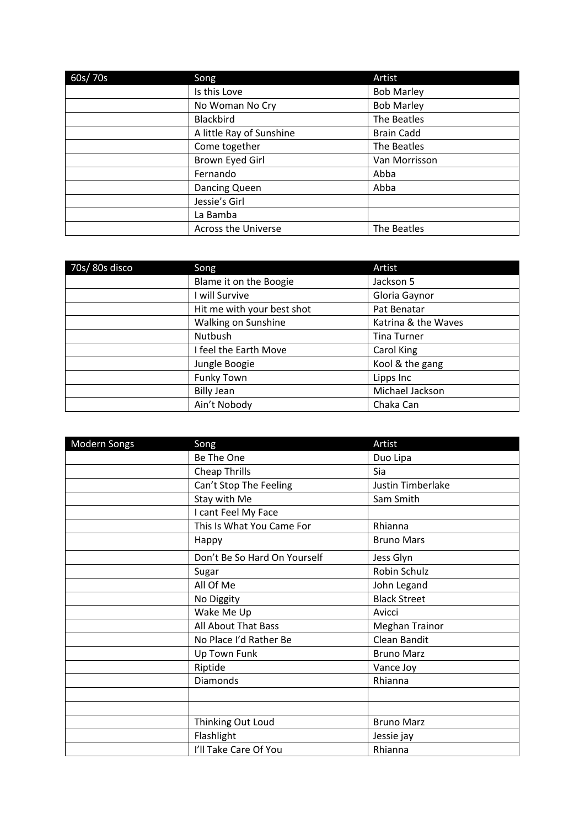| 60s/70s | Song                       | Artist            |
|---------|----------------------------|-------------------|
|         | Is this Love               | <b>Bob Marley</b> |
|         | No Woman No Cry            | <b>Bob Marley</b> |
|         | Blackbird                  | The Beatles       |
|         | A little Ray of Sunshine   | <b>Brain Cadd</b> |
|         | Come together              | The Beatles       |
|         | Brown Eyed Girl            | Van Morrisson     |
|         | Fernando                   | Abba              |
|         | Dancing Queen              | Abba              |
|         | Jessie's Girl              |                   |
|         | La Bamba                   |                   |
|         | <b>Across the Universe</b> | The Beatles       |

| 70s/80s disco | Song                       | Artist              |
|---------------|----------------------------|---------------------|
|               | Blame it on the Boogie     | Jackson 5           |
|               | will Survive               | Gloria Gaynor       |
|               | Hit me with your best shot | Pat Benatar         |
|               | Walking on Sunshine        | Katrina & the Waves |
|               | Nutbush                    | <b>Tina Turner</b>  |
|               | I feel the Earth Move      | Carol King          |
|               | Jungle Boogie              | Kool & the gang     |
|               | <b>Funky Town</b>          | Lipps Inc           |
|               | <b>Billy Jean</b>          | Michael Jackson     |
|               | Ain't Nobody               | Chaka Can           |

| Modern Songs | Song                         | Artist                |
|--------------|------------------------------|-----------------------|
|              | Be The One                   | Duo Lipa              |
|              | Cheap Thrills                | Sia                   |
|              | Can't Stop The Feeling       | Justin Timberlake     |
|              | Stay with Me                 | Sam Smith             |
|              | I cant Feel My Face          |                       |
|              | This Is What You Came For    | Rhianna               |
|              | Happy                        | <b>Bruno Mars</b>     |
|              | Don't Be So Hard On Yourself | Jess Glyn             |
|              | Sugar                        | Robin Schulz          |
|              | All Of Me                    | John Legand           |
|              | No Diggity                   | <b>Black Street</b>   |
|              | Wake Me Up                   | Avicci                |
|              | All About That Bass          | <b>Meghan Trainor</b> |
|              | No Place I'd Rather Be       | Clean Bandit          |
|              | Up Town Funk                 | <b>Bruno Marz</b>     |
|              | Riptide                      | Vance Joy             |
|              | <b>Diamonds</b>              | Rhianna               |
|              |                              |                       |
|              |                              |                       |
|              | Thinking Out Loud            | <b>Bruno Marz</b>     |
|              | Flashlight                   | Jessie jay            |
|              | I'll Take Care Of You        | Rhianna               |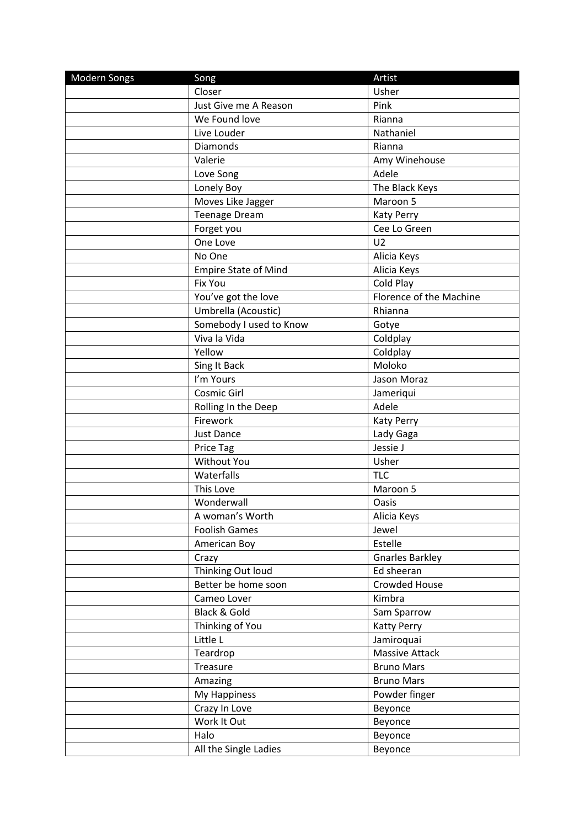| <b>Modern Songs</b> | Song                        | Artist                  |
|---------------------|-----------------------------|-------------------------|
|                     | Closer                      | Usher                   |
|                     | Just Give me A Reason       | Pink                    |
|                     | We Found love               | Rianna                  |
|                     | Live Louder                 | Nathaniel               |
|                     | Diamonds                    | Rianna                  |
|                     | Valerie                     | Amy Winehouse           |
|                     | Love Song                   | Adele                   |
|                     | Lonely Boy                  | The Black Keys          |
|                     | Moves Like Jagger           | Maroon 5                |
|                     | <b>Teenage Dream</b>        | <b>Katy Perry</b>       |
|                     | Forget you                  | Cee Lo Green            |
|                     | One Love                    | U <sub>2</sub>          |
|                     | No One                      | Alicia Keys             |
|                     | <b>Empire State of Mind</b> | Alicia Keys             |
|                     | <b>Fix You</b>              | Cold Play               |
|                     | You've got the love         | Florence of the Machine |
|                     | Umbrella (Acoustic)         | Rhianna                 |
|                     | Somebody I used to Know     | Gotye                   |
|                     | Viva la Vida                | Coldplay                |
|                     | Yellow                      | Coldplay                |
|                     | Sing It Back                | Moloko                  |
|                     | I'm Yours                   | Jason Moraz             |
|                     | Cosmic Girl                 | Jameriqui               |
|                     | Rolling In the Deep         | Adele                   |
|                     | Firework                    | <b>Katy Perry</b>       |
|                     | <b>Just Dance</b>           | Lady Gaga               |
|                     | <b>Price Tag</b>            | Jessie J                |
|                     | Without You                 | Usher                   |
|                     | Waterfalls                  | <b>TLC</b>              |
|                     | This Love                   | Maroon 5                |
|                     | Wonderwall                  | Oasis                   |
|                     | A woman's Worth             | Alicia Keys             |
|                     | <b>Foolish Games</b>        | Jewel                   |
|                     | American Boy                | Estelle                 |
|                     | Crazy                       | <b>Gnarles Barkley</b>  |
|                     | Thinking Out loud           | Ed sheeran              |
|                     | Better be home soon         | Crowded House           |
|                     | Cameo Lover                 | Kimbra                  |
|                     | Black & Gold                | Sam Sparrow             |
|                     | Thinking of You             | <b>Katty Perry</b>      |
|                     | Little L                    | Jamiroquai              |
|                     | Teardrop                    | Massive Attack          |
|                     | Treasure                    | <b>Bruno Mars</b>       |
|                     | Amazing                     | <b>Bruno Mars</b>       |
|                     | My Happiness                | Powder finger           |
|                     | Crazy In Love               | Beyonce                 |
|                     | Work It Out                 | Beyonce                 |
|                     | Halo                        | Beyonce                 |
|                     | All the Single Ladies       | Beyonce                 |